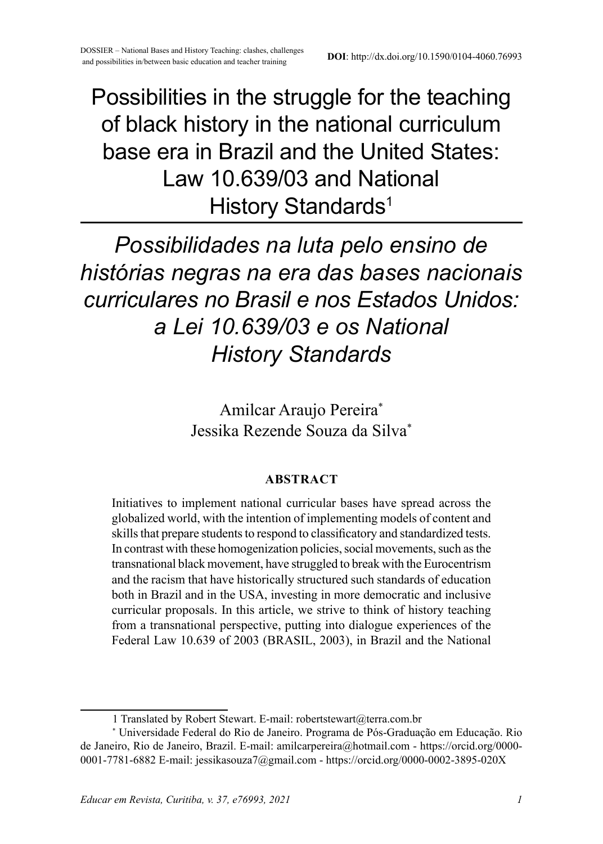# Possibilities in the struggle for the teaching of black history in the national curriculum base era in Brazil and the United States: Law 10.639/03 and National History Standards<sup>1</sup>

*Possibilidades na luta pelo ensino de histórias negras na era das bases nacionais curriculares no Brasil e nos Estados Unidos: a Lei 10.639/03 e os National History Standards*

> Amilcar Araujo Pereira\* Jessika Rezende Souza da Silva\*

#### **ABSTRACT**

Initiatives to implement national curricular bases have spread across the globalized world, with the intention of implementing models of content and skills that prepare students to respond to classificatory and standardized tests. In contrast with these homogenization policies, social movements, such as the transnational black movement, have struggled to break with the Eurocentrism and the racism that have historically structured such standards of education both in Brazil and in the USA, investing in more democratic and inclusive curricular proposals. In this article, we strive to think of history teaching from a transnational perspective, putting into dialogue experiences of the Federal Law 10.639 of 2003 (BRASIL, 2003), in Brazil and the National

<sup>1</sup> Translated by Robert Stewart. E-mail: robertstewart@terra.com.br

<sup>\*</sup> Universidade Federal do Rio de Janeiro. Programa de Pós-Graduação em Educação. Rio de Janeiro, Rio de Janeiro, Brazil. E-mail: amilcarpereira@hotmail.com - https://orcid.org/0000- 0001-7781-6882 E-mail: jessikasouza7@gmail.com - https://orcid.org/0000-0002-3895-020X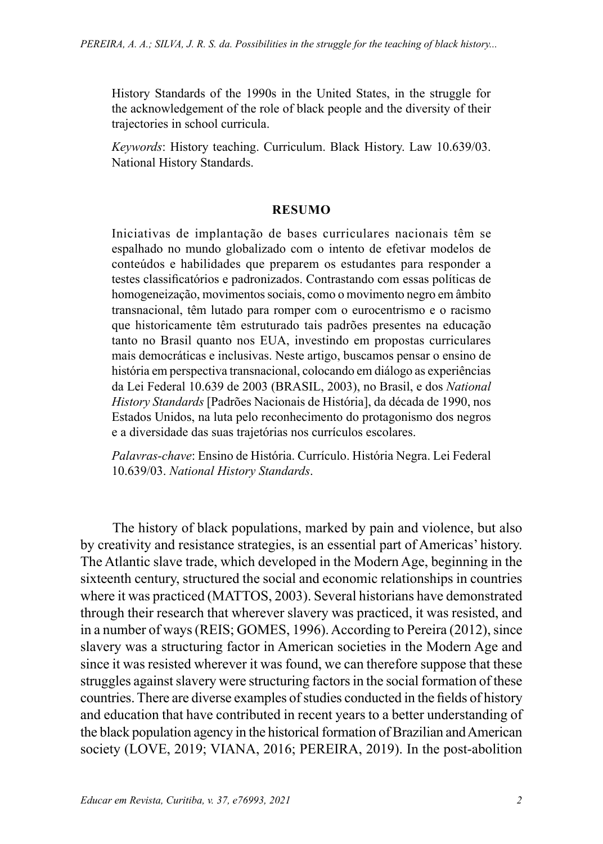History Standards of the 1990s in the United States, in the struggle for the acknowledgement of the role of black people and the diversity of their trajectories in school curricula.

*Keywords*: History teaching. Curriculum. Black History. Law 10.639/03. National History Standards.

#### **RESUMO**

Iniciativas de implantação de bases curriculares nacionais têm se espalhado no mundo globalizado com o intento de efetivar modelos de conteúdos e habilidades que preparem os estudantes para responder a testes classificatórios e padronizados. Contrastando com essas políticas de homogeneização, movimentos sociais, como o movimento negro em âmbito transnacional, têm lutado para romper com o eurocentrismo e o racismo que historicamente têm estruturado tais padrões presentes na educação tanto no Brasil quanto nos EUA, investindo em propostas curriculares mais democráticas e inclusivas. Neste artigo, buscamos pensar o ensino de história em perspectiva transnacional, colocando em diálogo as experiências da Lei Federal 10.639 de 2003 (BRASIL, 2003), no Brasil, e dos *National History Standards* [Padrões Nacionais de História], da década de 1990, nos Estados Unidos, na luta pelo reconhecimento do protagonismo dos negros e a diversidade das suas trajetórias nos currículos escolares.

*Palavras-chave*: Ensino de História. Currículo. História Negra. Lei Federal 10.639/03. *National History Standards*.

The history of black populations, marked by pain and violence, but also by creativity and resistance strategies, is an essential part of Americas' history. The Atlantic slave trade, which developed in the Modern Age, beginning in the sixteenth century, structured the social and economic relationships in countries where it was practiced (MATTOS, 2003). Several historians have demonstrated through their research that wherever slavery was practiced, it was resisted, and in a number of ways (REIS; GOMES, 1996). According to Pereira (2012), since slavery was a structuring factor in American societies in the Modern Age and since it was resisted wherever it was found, we can therefore suppose that these struggles against slavery were structuring factors in the social formation of these countries. There are diverse examples of studies conducted in the fields of history and education that have contributed in recent years to a better understanding of the black population agency in the historical formation of Brazilian and American society (LOVE, 2019; VIANA, 2016; PEREIRA, 2019). In the post-abolition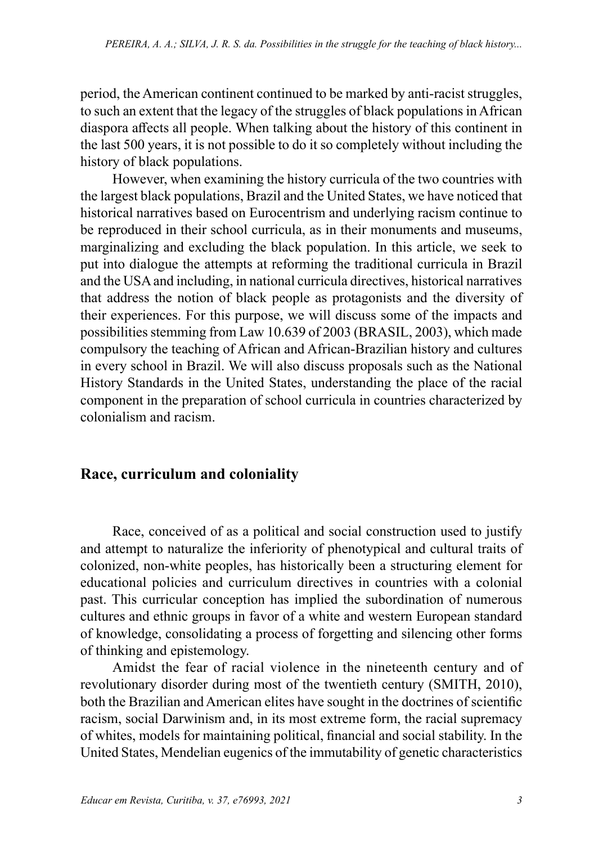period, the American continent continued to be marked by anti-racist struggles, to such an extent that the legacy of the struggles of black populations in African diaspora affects all people. When talking about the history of this continent in the last 500 years, it is not possible to do it so completely without including the history of black populations.

However, when examining the history curricula of the two countries with the largest black populations, Brazil and the United States, we have noticed that historical narratives based on Eurocentrism and underlying racism continue to be reproduced in their school curricula, as in their monuments and museums, marginalizing and excluding the black population. In this article, we seek to put into dialogue the attempts at reforming the traditional curricula in Brazil and the USA and including, in national curricula directives, historical narratives that address the notion of black people as protagonists and the diversity of their experiences. For this purpose, we will discuss some of the impacts and possibilities stemming from Law 10.639 of 2003 (BRASIL, 2003), which made compulsory the teaching of African and African-Brazilian history and cultures in every school in Brazil. We will also discuss proposals such as the National History Standards in the United States, understanding the place of the racial component in the preparation of school curricula in countries characterized by colonialism and racism.

#### **Race, curriculum and coloniality**

Race, conceived of as a political and social construction used to justify and attempt to naturalize the inferiority of phenotypical and cultural traits of colonized, non-white peoples, has historically been a structuring element for educational policies and curriculum directives in countries with a colonial past. This curricular conception has implied the subordination of numerous cultures and ethnic groups in favor of a white and western European standard of knowledge, consolidating a process of forgetting and silencing other forms of thinking and epistemology.

Amidst the fear of racial violence in the nineteenth century and of revolutionary disorder during most of the twentieth century (SMITH, 2010), both the Brazilian and American elites have sought in the doctrines of scientific racism, social Darwinism and, in its most extreme form, the racial supremacy of whites, models for maintaining political, financial and social stability. In the United States, Mendelian eugenics of the immutability of genetic characteristics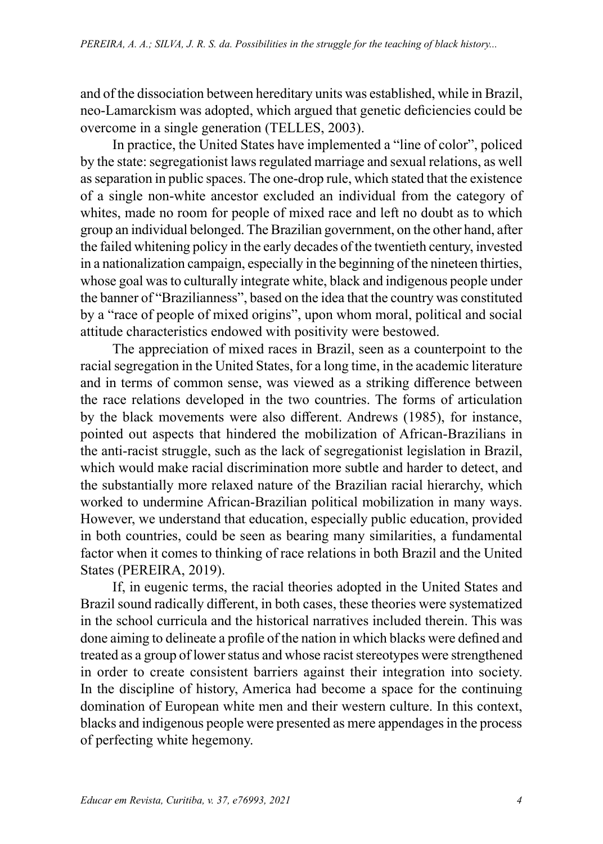and of the dissociation between hereditary units was established, while in Brazil, neo-Lamarckism was adopted, which argued that genetic deficiencies could be overcome in a single generation (TELLES, 2003).

In practice, the United States have implemented a "line of color", policed by the state: segregationist laws regulated marriage and sexual relations, as well as separation in public spaces. The one-drop rule, which stated that the existence of a single non-white ancestor excluded an individual from the category of whites, made no room for people of mixed race and left no doubt as to which group an individual belonged. The Brazilian government, on the other hand, after the failed whitening policy in the early decades of the twentieth century, invested in a nationalization campaign, especially in the beginning of the nineteen thirties, whose goal was to culturally integrate white, black and indigenous people under the banner of "Brazilianness", based on the idea that the country was constituted by a "race of people of mixed origins", upon whom moral, political and social attitude characteristics endowed with positivity were bestowed.

The appreciation of mixed races in Brazil, seen as a counterpoint to the racial segregation in the United States, for a long time, in the academic literature and in terms of common sense, was viewed as a striking difference between the race relations developed in the two countries. The forms of articulation by the black movements were also different. Andrews (1985), for instance, pointed out aspects that hindered the mobilization of African-Brazilians in the anti-racist struggle, such as the lack of segregationist legislation in Brazil, which would make racial discrimination more subtle and harder to detect, and the substantially more relaxed nature of the Brazilian racial hierarchy, which worked to undermine African-Brazilian political mobilization in many ways. However, we understand that education, especially public education, provided in both countries, could be seen as bearing many similarities, a fundamental factor when it comes to thinking of race relations in both Brazil and the United States (PEREIRA, 2019).

If, in eugenic terms, the racial theories adopted in the United States and Brazil sound radically different, in both cases, these theories were systematized in the school curricula and the historical narratives included therein. This was done aiming to delineate a profile of the nation in which blacks were defined and treated as a group of lower status and whose racist stereotypes were strengthened in order to create consistent barriers against their integration into society. In the discipline of history, America had become a space for the continuing domination of European white men and their western culture. In this context, blacks and indigenous people were presented as mere appendages in the process of perfecting white hegemony.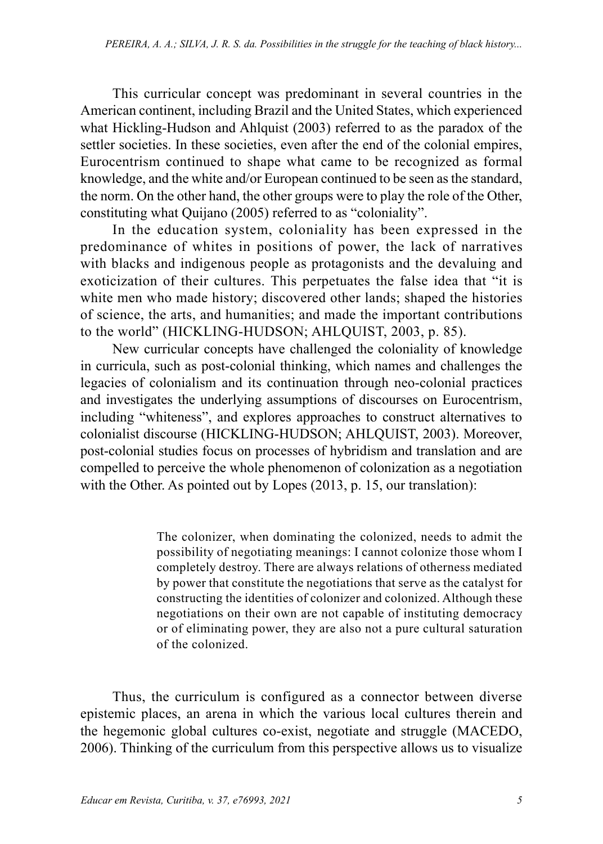This curricular concept was predominant in several countries in the American continent, including Brazil and the United States, which experienced what Hickling-Hudson and Ahlquist (2003) referred to as the paradox of the settler societies. In these societies, even after the end of the colonial empires, Eurocentrism continued to shape what came to be recognized as formal knowledge, and the white and/or European continued to be seen as the standard, the norm. On the other hand, the other groups were to play the role of the Other, constituting what Quijano (2005) referred to as "coloniality".

In the education system, coloniality has been expressed in the predominance of whites in positions of power, the lack of narratives with blacks and indigenous people as protagonists and the devaluing and exoticization of their cultures. This perpetuates the false idea that "it is white men who made history; discovered other lands; shaped the histories of science, the arts, and humanities; and made the important contributions to the world" (HICKLING-HUDSON; AHLQUIST, 2003, p. 85).

New curricular concepts have challenged the coloniality of knowledge in curricula, such as post-colonial thinking, which names and challenges the legacies of colonialism and its continuation through neo-colonial practices and investigates the underlying assumptions of discourses on Eurocentrism, including "whiteness", and explores approaches to construct alternatives to colonialist discourse (HICKLING-HUDSON; AHLQUIST, 2003). Moreover, post-colonial studies focus on processes of hybridism and translation and are compelled to perceive the whole phenomenon of colonization as a negotiation with the Other. As pointed out by Lopes (2013, p. 15, our translation):

> The colonizer, when dominating the colonized, needs to admit the possibility of negotiating meanings: I cannot colonize those whom I completely destroy. There are always relations of otherness mediated by power that constitute the negotiations that serve as the catalyst for constructing the identities of colonizer and colonized. Although these negotiations on their own are not capable of instituting democracy or of eliminating power, they are also not a pure cultural saturation of the colonized.

Thus, the curriculum is configured as a connector between diverse epistemic places, an arena in which the various local cultures therein and the hegemonic global cultures co-exist, negotiate and struggle (MACEDO, 2006). Thinking of the curriculum from this perspective allows us to visualize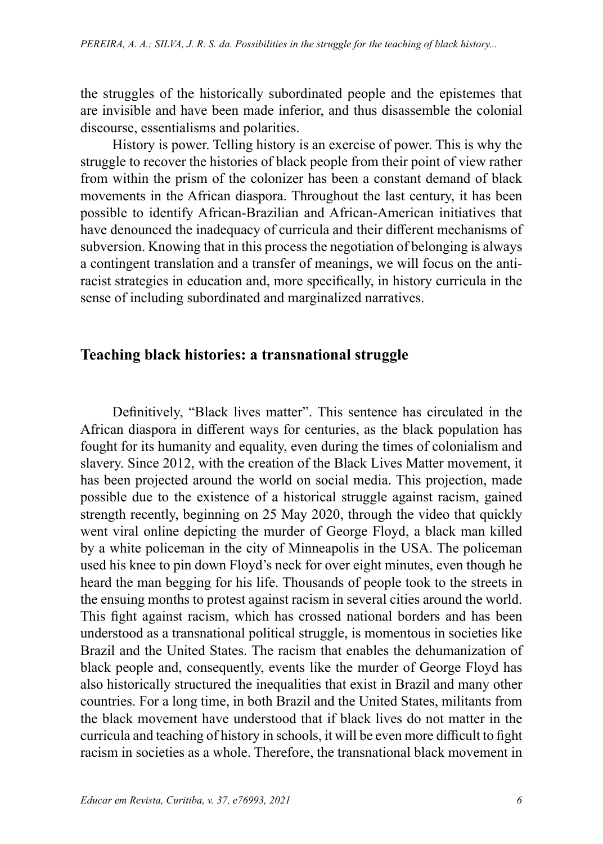the struggles of the historically subordinated people and the epistemes that are invisible and have been made inferior, and thus disassemble the colonial discourse, essentialisms and polarities.

History is power. Telling history is an exercise of power. This is why the struggle to recover the histories of black people from their point of view rather from within the prism of the colonizer has been a constant demand of black movements in the African diaspora. Throughout the last century, it has been possible to identify African-Brazilian and African-American initiatives that have denounced the inadequacy of curricula and their different mechanisms of subversion. Knowing that in this process the negotiation of belonging is always a contingent translation and a transfer of meanings, we will focus on the antiracist strategies in education and, more specifically, in history curricula in the sense of including subordinated and marginalized narratives.

# **Teaching black histories: a transnational struggle**

Definitively, "Black lives matter". This sentence has circulated in the African diaspora in different ways for centuries, as the black population has fought for its humanity and equality, even during the times of colonialism and slavery. Since 2012, with the creation of the Black Lives Matter movement, it has been projected around the world on social media. This projection, made possible due to the existence of a historical struggle against racism, gained strength recently, beginning on 25 May 2020, through the video that quickly went viral online depicting the murder of George Floyd, a black man killed by a white policeman in the city of Minneapolis in the USA. The policeman used his knee to pin down Floyd's neck for over eight minutes, even though he heard the man begging for his life. Thousands of people took to the streets in the ensuing months to protest against racism in several cities around the world. This fight against racism, which has crossed national borders and has been understood as a transnational political struggle, is momentous in societies like Brazil and the United States. The racism that enables the dehumanization of black people and, consequently, events like the murder of George Floyd has also historically structured the inequalities that exist in Brazil and many other countries. For a long time, in both Brazil and the United States, militants from the black movement have understood that if black lives do not matter in the curricula and teaching of history in schools, it will be even more difficult to fight racism in societies as a whole. Therefore, the transnational black movement in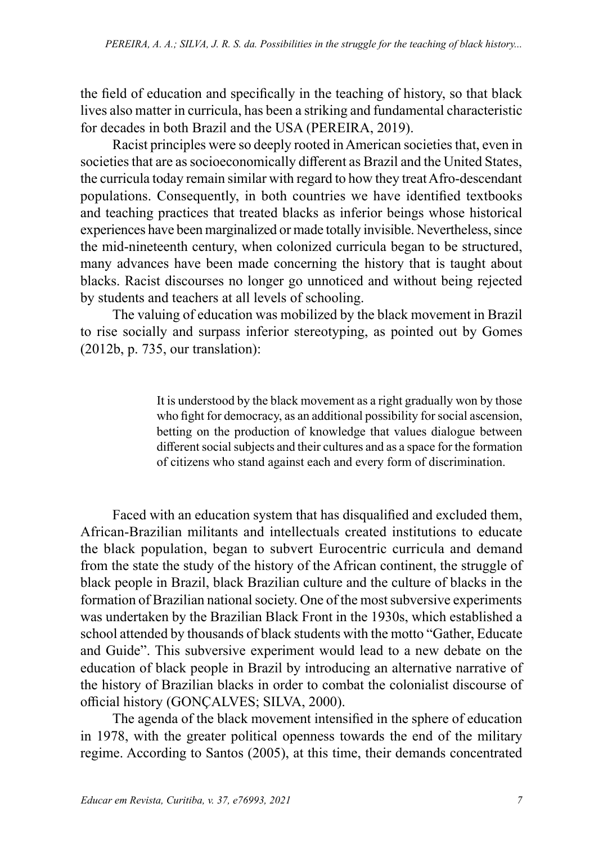the field of education and specifically in the teaching of history, so that black lives also matter in curricula, has been a striking and fundamental characteristic for decades in both Brazil and the USA (PEREIRA, 2019).

Racist principles were so deeply rooted in American societies that, even in societies that are as socioeconomically different as Brazil and the United States, the curricula today remain similar with regard to how they treat Afro-descendant populations. Consequently, in both countries we have identified textbooks and teaching practices that treated blacks as inferior beings whose historical experiences have been marginalized or made totally invisible. Nevertheless, since the mid-nineteenth century, when colonized curricula began to be structured, many advances have been made concerning the history that is taught about blacks. Racist discourses no longer go unnoticed and without being rejected by students and teachers at all levels of schooling.

The valuing of education was mobilized by the black movement in Brazil to rise socially and surpass inferior stereotyping, as pointed out by Gomes (2012b, p. 735, our translation):

> It is understood by the black movement as a right gradually won by those who fight for democracy, as an additional possibility for social ascension, betting on the production of knowledge that values dialogue between different social subjects and their cultures and as a space for the formation of citizens who stand against each and every form of discrimination.

Faced with an education system that has disqualified and excluded them, African-Brazilian militants and intellectuals created institutions to educate the black population, began to subvert Eurocentric curricula and demand from the state the study of the history of the African continent, the struggle of black people in Brazil, black Brazilian culture and the culture of blacks in the formation of Brazilian national society. One of the most subversive experiments was undertaken by the Brazilian Black Front in the 1930s, which established a school attended by thousands of black students with the motto "Gather, Educate and Guide". This subversive experiment would lead to a new debate on the education of black people in Brazil by introducing an alternative narrative of the history of Brazilian blacks in order to combat the colonialist discourse of official history (GONÇALVES; SILVA, 2000).

The agenda of the black movement intensified in the sphere of education in 1978, with the greater political openness towards the end of the military regime. According to Santos (2005), at this time, their demands concentrated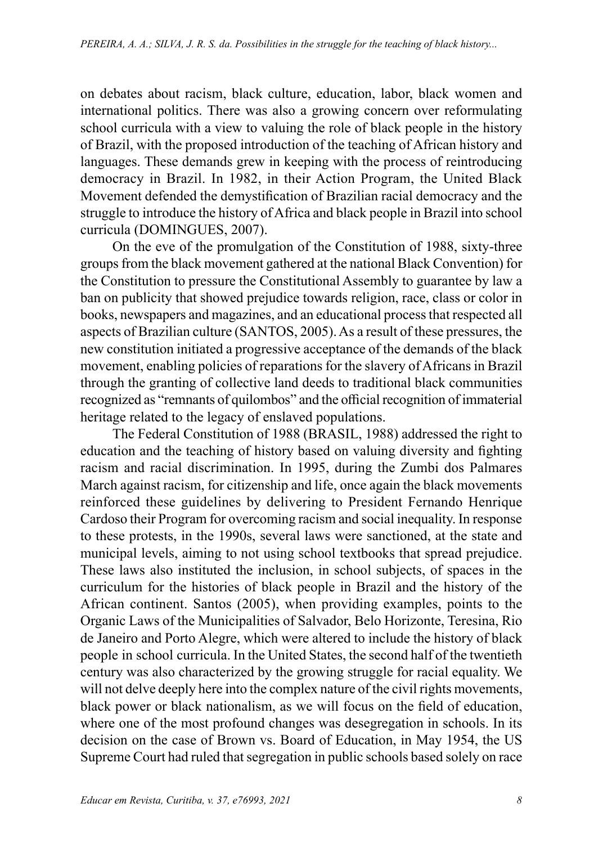on debates about racism, black culture, education, labor, black women and international politics. There was also a growing concern over reformulating school curricula with a view to valuing the role of black people in the history of Brazil, with the proposed introduction of the teaching of African history and languages. These demands grew in keeping with the process of reintroducing democracy in Brazil. In 1982, in their Action Program, the United Black Movement defended the demystification of Brazilian racial democracy and the struggle to introduce the history of Africa and black people in Brazil into school curricula (DOMINGUES, 2007).

On the eve of the promulgation of the Constitution of 1988, sixty-three groups from the black movement gathered at the national Black Convention) for the Constitution to pressure the Constitutional Assembly to guarantee by law a ban on publicity that showed prejudice towards religion, race, class or color in books, newspapers and magazines, and an educational process that respected all aspects of Brazilian culture (SANTOS, 2005). As a result of these pressures, the new constitution initiated a progressive acceptance of the demands of the black movement, enabling policies of reparations for the slavery of Africans in Brazil through the granting of collective land deeds to traditional black communities recognized as "remnants of quilombos" and the official recognition of immaterial heritage related to the legacy of enslaved populations.

The Federal Constitution of 1988 (BRASIL, 1988) addressed the right to education and the teaching of history based on valuing diversity and fighting racism and racial discrimination. In 1995, during the Zumbi dos Palmares March against racism, for citizenship and life, once again the black movements reinforced these guidelines by delivering to President Fernando Henrique Cardoso their Program for overcoming racism and social inequality. In response to these protests, in the 1990s, several laws were sanctioned, at the state and municipal levels, aiming to not using school textbooks that spread prejudice. These laws also instituted the inclusion, in school subjects, of spaces in the curriculum for the histories of black people in Brazil and the history of the African continent. Santos (2005), when providing examples, points to the Organic Laws of the Municipalities of Salvador, Belo Horizonte, Teresina, Rio de Janeiro and Porto Alegre, which were altered to include the history of black people in school curricula. In the United States, the second half of the twentieth century was also characterized by the growing struggle for racial equality. We will not delve deeply here into the complex nature of the civil rights movements, black power or black nationalism, as we will focus on the field of education, where one of the most profound changes was desegregation in schools. In its decision on the case of Brown vs. Board of Education, in May 1954, the US Supreme Court had ruled that segregation in public schools based solely on race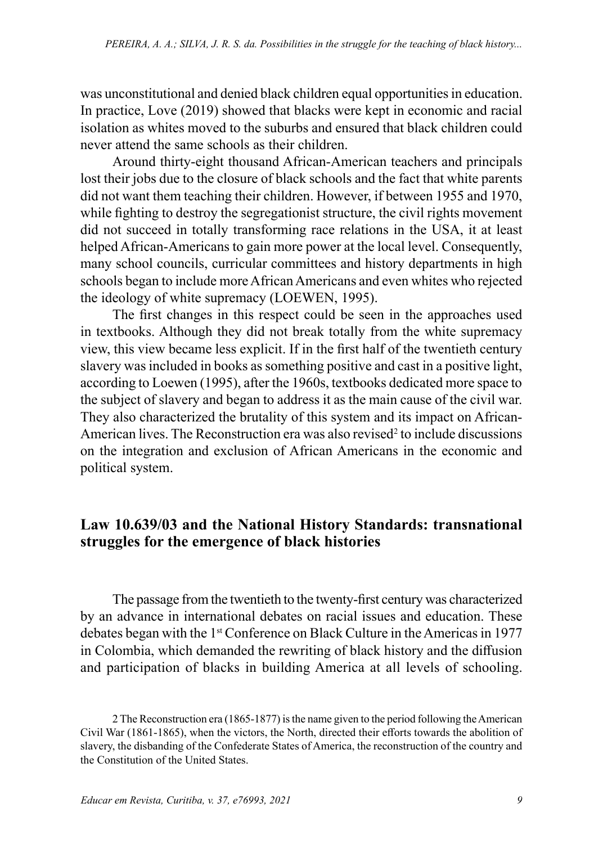was unconstitutional and denied black children equal opportunities in education. In practice, Love (2019) showed that blacks were kept in economic and racial isolation as whites moved to the suburbs and ensured that black children could never attend the same schools as their children.

Around thirty-eight thousand African-American teachers and principals lost their jobs due to the closure of black schools and the fact that white parents did not want them teaching their children. However, if between 1955 and 1970, while fighting to destroy the segregationist structure, the civil rights movement did not succeed in totally transforming race relations in the USA, it at least helped African-Americans to gain more power at the local level. Consequently, many school councils, curricular committees and history departments in high schools began to include more African Americans and even whites who rejected the ideology of white supremacy (LOEWEN, 1995).

The first changes in this respect could be seen in the approaches used in textbooks. Although they did not break totally from the white supremacy view, this view became less explicit. If in the first half of the twentieth century slavery was included in books as something positive and cast in a positive light, according to Loewen (1995), after the 1960s, textbooks dedicated more space to the subject of slavery and began to address it as the main cause of the civil war. They also characterized the brutality of this system and its impact on African-American lives. The Reconstruction era was also revised $2$  to include discussions on the integration and exclusion of African Americans in the economic and political system.

### **Law 10.639/03 and the National History Standards: transnational struggles for the emergence of black histories**

The passage from the twentieth to the twenty-first century was characterized by an advance in international debates on racial issues and education. These debates began with the 1<sup>st</sup> Conference on Black Culture in the Americas in 1977 in Colombia, which demanded the rewriting of black history and the diffusion and participation of blacks in building America at all levels of schooling.

<sup>2</sup> The Reconstruction era (1865-1877) is the name given to the period following the American Civil War (1861-1865), when the victors, the North, directed their efforts towards the abolition of slavery, the disbanding of the Confederate States of America, the reconstruction of the country and the Constitution of the United States.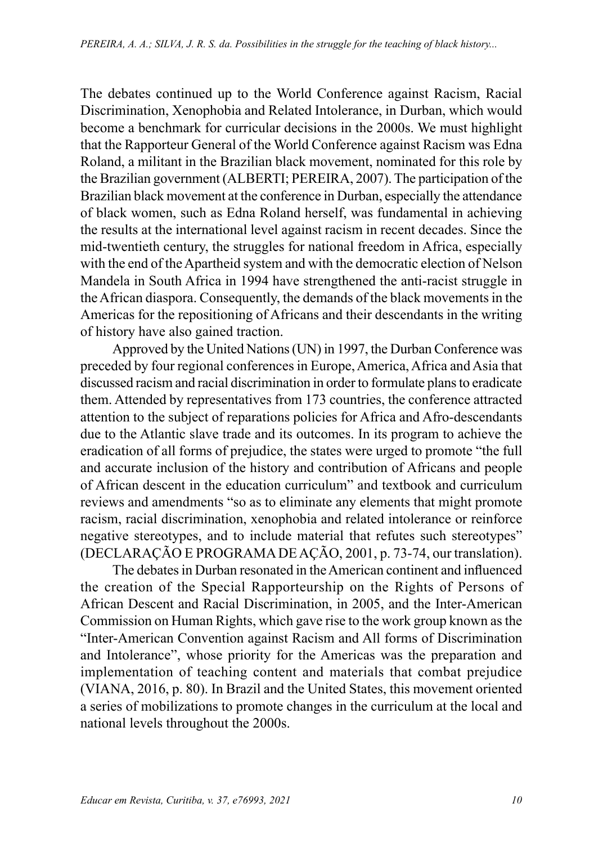The debates continued up to the World Conference against Racism, Racial Discrimination, Xenophobia and Related Intolerance, in Durban, which would become a benchmark for curricular decisions in the 2000s. We must highlight that the Rapporteur General of the World Conference against Racism was Edna Roland, a militant in the Brazilian black movement, nominated for this role by the Brazilian government (ALBERTI; PEREIRA, 2007). The participation of the Brazilian black movement at the conference in Durban, especially the attendance of black women, such as Edna Roland herself, was fundamental in achieving the results at the international level against racism in recent decades. Since the mid-twentieth century, the struggles for national freedom in Africa, especially with the end of the Apartheid system and with the democratic election of Nelson Mandela in South Africa in 1994 have strengthened the anti-racist struggle in the African diaspora. Consequently, the demands of the black movements in the Americas for the repositioning of Africans and their descendants in the writing of history have also gained traction.

Approved by the United Nations (UN) in 1997, the Durban Conference was preceded by four regional conferences in Europe, America, Africa and Asia that discussed racism and racial discrimination in order to formulate plans to eradicate them. Attended by representatives from 173 countries, the conference attracted attention to the subject of reparations policies for Africa and Afro-descendants due to the Atlantic slave trade and its outcomes. In its program to achieve the eradication of all forms of prejudice, the states were urged to promote "the full and accurate inclusion of the history and contribution of Africans and people of African descent in the education curriculum" and textbook and curriculum reviews and amendments "so as to eliminate any elements that might promote racism, racial discrimination, xenophobia and related intolerance or reinforce negative stereotypes, and to include material that refutes such stereotypes" (DECLARAÇÃO E PROGRAMA DE AÇÃO, 2001, p. 73-74, our translation).

The debates in Durban resonated in the American continent and influenced the creation of the Special Rapporteurship on the Rights of Persons of African Descent and Racial Discrimination, in 2005, and the Inter-American Commission on Human Rights, which gave rise to the work group known as the "Inter-American Convention against Racism and All forms of Discrimination and Intolerance", whose priority for the Americas was the preparation and implementation of teaching content and materials that combat prejudice (VIANA, 2016, p. 80). In Brazil and the United States, this movement oriented a series of mobilizations to promote changes in the curriculum at the local and national levels throughout the 2000s.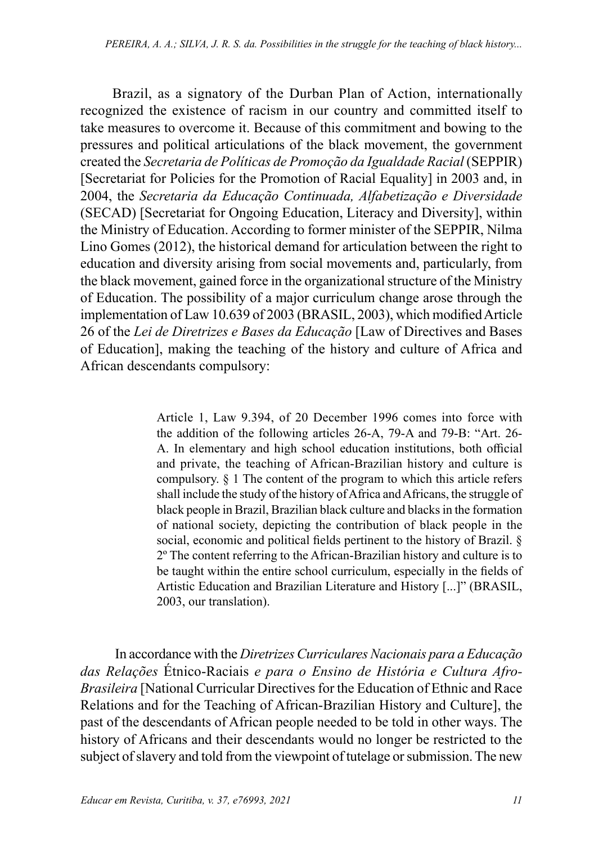Brazil, as a signatory of the Durban Plan of Action, internationally recognized the existence of racism in our country and committed itself to take measures to overcome it. Because of this commitment and bowing to the pressures and political articulations of the black movement, the government created the *Secretaria de Políticas de Promoção da Igualdade Racial* (SEPPIR) [Secretariat for Policies for the Promotion of Racial Equality] in 2003 and, in 2004, the *Secretaria da Educação Continuada, Alfabetização e Diversidade* (SECAD) [Secretariat for Ongoing Education, Literacy and Diversity], within the Ministry of Education. According to former minister of the SEPPIR, Nilma Lino Gomes (2012), the historical demand for articulation between the right to education and diversity arising from social movements and, particularly, from the black movement, gained force in the organizational structure of the Ministry of Education. The possibility of a major curriculum change arose through the implementation of Law 10.639 of 2003 (BRASIL, 2003), which modified Article 26 of the *Lei de Diretrizes e Bases da Educação* [Law of Directives and Bases of Education], making the teaching of the history and culture of Africa and African descendants compulsory:

> Article 1, Law 9.394, of 20 December 1996 comes into force with the addition of the following articles 26-A, 79-A and 79-B: "Art. 26- A. In elementary and high school education institutions, both official and private, the teaching of African-Brazilian history and culture is compulsory. § 1 The content of the program to which this article refers shall include the study of the history of Africa and Africans, the struggle of black people in Brazil, Brazilian black culture and blacks in the formation of national society, depicting the contribution of black people in the social, economic and political fields pertinent to the history of Brazil. § 2º The content referring to the African-Brazilian history and culture is to be taught within the entire school curriculum, especially in the fields of Artistic Education and Brazilian Literature and History [...]" (BRASIL, 2003, our translation).

 In accordance with the *Diretrizes Curriculares Nacionais para a Educação das Relações* Étnico-Raciais *e para o Ensino de História e Cultura Afro-Brasileira* [National Curricular Directives for the Education of Ethnic and Race Relations and for the Teaching of African-Brazilian History and Culture], the past of the descendants of African people needed to be told in other ways. The history of Africans and their descendants would no longer be restricted to the subject of slavery and told from the viewpoint of tutelage or submission. The new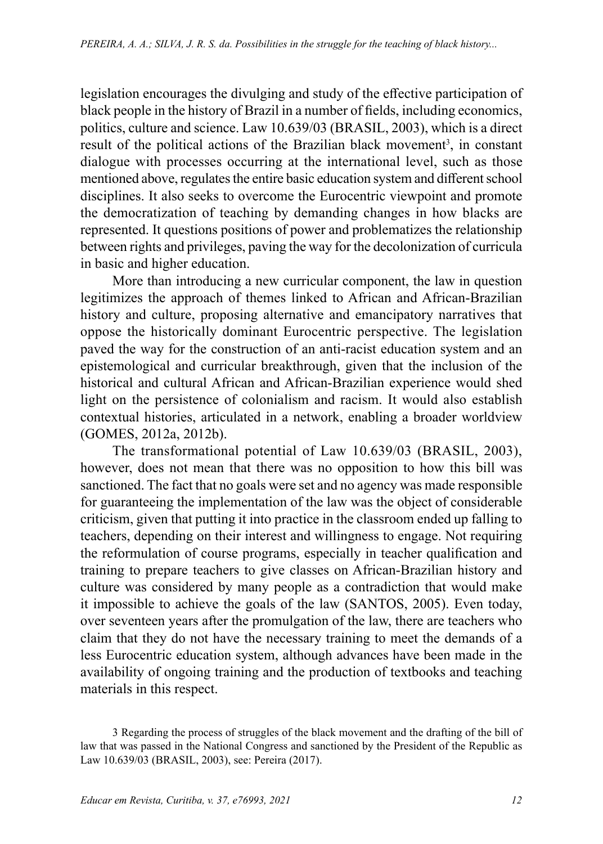legislation encourages the divulging and study of the effective participation of black people in the history of Brazil in a number of fields, including economics, politics, culture and science. Law 10.639/03 (BRASIL, 2003), which is a direct result of the political actions of the Brazilian black movement<sup>3</sup>, in constant dialogue with processes occurring at the international level, such as those mentioned above, regulates the entire basic education system and different school disciplines. It also seeks to overcome the Eurocentric viewpoint and promote the democratization of teaching by demanding changes in how blacks are represented. It questions positions of power and problematizes the relationship between rights and privileges, paving the way for the decolonization of curricula in basic and higher education.

More than introducing a new curricular component, the law in question legitimizes the approach of themes linked to African and African-Brazilian history and culture, proposing alternative and emancipatory narratives that oppose the historically dominant Eurocentric perspective. The legislation paved the way for the construction of an anti-racist education system and an epistemological and curricular breakthrough, given that the inclusion of the historical and cultural African and African-Brazilian experience would shed light on the persistence of colonialism and racism. It would also establish contextual histories, articulated in a network, enabling a broader worldview (GOMES, 2012a, 2012b).

The transformational potential of Law 10.639/03 (BRASIL, 2003), however, does not mean that there was no opposition to how this bill was sanctioned. The fact that no goals were set and no agency was made responsible for guaranteeing the implementation of the law was the object of considerable criticism, given that putting it into practice in the classroom ended up falling to teachers, depending on their interest and willingness to engage. Not requiring the reformulation of course programs, especially in teacher qualification and training to prepare teachers to give classes on African-Brazilian history and culture was considered by many people as a contradiction that would make it impossible to achieve the goals of the law (SANTOS, 2005). Even today, over seventeen years after the promulgation of the law, there are teachers who claim that they do not have the necessary training to meet the demands of a less Eurocentric education system, although advances have been made in the availability of ongoing training and the production of textbooks and teaching materials in this respect.

<sup>3</sup> Regarding the process of struggles of the black movement and the drafting of the bill of law that was passed in the National Congress and sanctioned by the President of the Republic as Law 10.639/03 (BRASIL, 2003), see: Pereira (2017).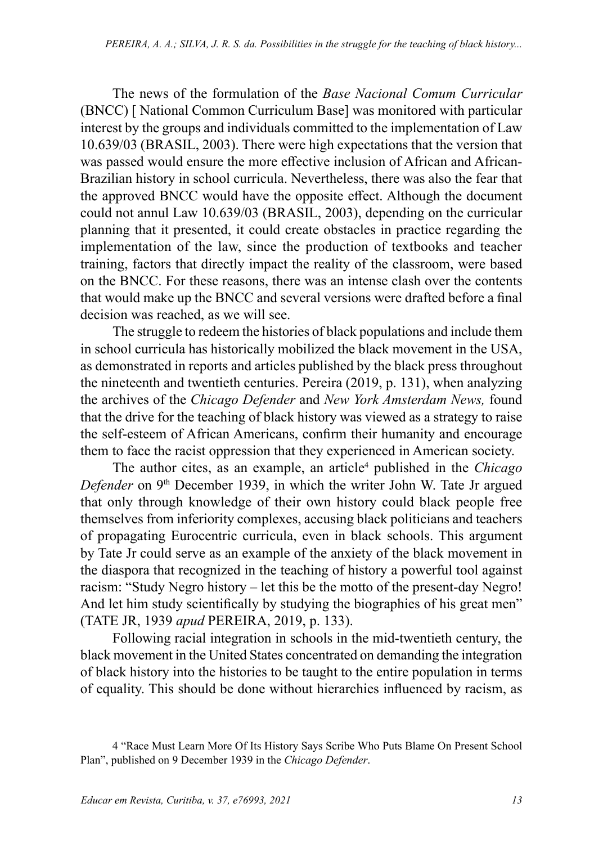The news of the formulation of the *Base Nacional Comum Curricular* (BNCC) [ National Common Curriculum Base] was monitored with particular interest by the groups and individuals committed to the implementation of Law 10.639/03 (BRASIL, 2003). There were high expectations that the version that was passed would ensure the more effective inclusion of African and African-Brazilian history in school curricula. Nevertheless, there was also the fear that the approved BNCC would have the opposite effect. Although the document could not annul Law 10.639/03 (BRASIL, 2003), depending on the curricular planning that it presented, it could create obstacles in practice regarding the implementation of the law, since the production of textbooks and teacher training, factors that directly impact the reality of the classroom, were based on the BNCC. For these reasons, there was an intense clash over the contents that would make up the BNCC and several versions were drafted before a final decision was reached, as we will see.

The struggle to redeem the histories of black populations and include them in school curricula has historically mobilized the black movement in the USA, as demonstrated in reports and articles published by the black press throughout the nineteenth and twentieth centuries. Pereira (2019, p. 131), when analyzing the archives of the *Chicago Defender* and *New York Amsterdam News,* found that the drive for the teaching of black history was viewed as a strategy to raise the self-esteem of African Americans, confirm their humanity and encourage them to face the racist oppression that they experienced in American society.

The author cites, as an example, an article<sup>4</sup> published in the *Chicago Defender* on 9<sup>th</sup> December 1939, in which the writer John W. Tate Jr argued that only through knowledge of their own history could black people free themselves from inferiority complexes, accusing black politicians and teachers of propagating Eurocentric curricula, even in black schools. This argument by Tate Jr could serve as an example of the anxiety of the black movement in the diaspora that recognized in the teaching of history a powerful tool against racism: "Study Negro history – let this be the motto of the present-day Negro! And let him study scientifically by studying the biographies of his great men" (TATE JR, 1939 *apud* PEREIRA, 2019, p. 133).

Following racial integration in schools in the mid-twentieth century, the black movement in the United States concentrated on demanding the integration of black history into the histories to be taught to the entire population in terms of equality. This should be done without hierarchies influenced by racism, as

<sup>4 &</sup>quot;Race Must Learn More Of Its History Says Scribe Who Puts Blame On Present School Plan", published on 9 December 1939 in the *Chicago Defender*.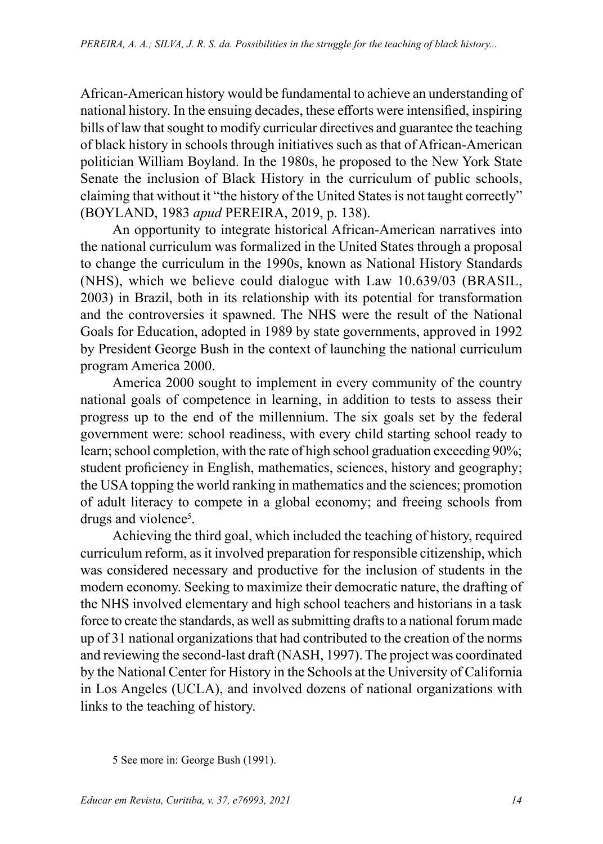African-American history would be fundamental to achieve an understanding of national history. In the ensuing decades, these efforts were intensified, inspiring bills of law that sought to modify curricular directives and guarantee the teaching of black history in schools through initiatives such as that of African-American politician William Boyland. In the 1980s, he proposed to the New York State Senate the inclusion of Black History in the curriculum of public schools, claiming that without it "the history of the United States is not taught correctly" (BOYLAND, 1983 *apud* PEREIRA, 2019, p. 138).

An opportunity to integrate historical African-American narratives into the national curriculum was formalized in the United States through a proposal to change the curriculum in the 1990s, known as National History Standards (NHS), which we believe could dialogue with Law 10.639/03 (BRASIL, 2003) in Brazil, both in its relationship with its potential for transformation and the controversies it spawned. The NHS were the result of the National Goals for Education, adopted in 1989 by state governments, approved in 1992 by President George Bush in the context of launching the national curriculum program America 2000.

America 2000 sought to implement in every community of the country national goals of competence in learning, in addition to tests to assess their progress up to the end of the millennium. The six goals set by the federal government were: school readiness, with every child starting school ready to learn; school completion, with the rate of high school graduation exceeding 90%; student proficiency in English, mathematics, sciences, history and geography; the USA topping the world ranking in mathematics and the sciences; promotion of adult literacy to compete in a global economy; and freeing schools from drugs and violence<sup>5</sup>.

Achieving the third goal, which included the teaching of history, required curriculum reform, as it involved preparation for responsible citizenship, which was considered necessary and productive for the inclusion of students in the modern economy. Seeking to maximize their democratic nature, the drafting of the NHS involved elementary and high school teachers and historians in a task force to create the standards, as well as submitting drafts to a national forum made up of 31 national organizations that had contributed to the creation of the norms and reviewing the second-last draft (NASH, 1997). The project was coordinated by the National Center for History in the Schools at the University of California in Los Angeles (UCLA), and involved dozens of national organizations with links to the teaching of history.

<sup>5</sup> See more in: George Bush (1991).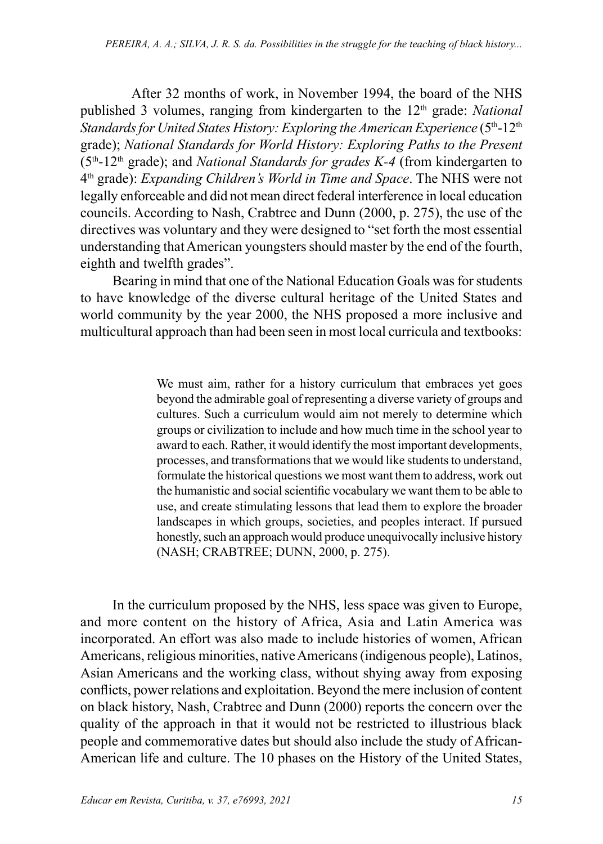After 32 months of work, in November 1994, the board of the NHS published 3 volumes, ranging from kindergarten to the 12<sup>th</sup> grade: *National Standards for United States History: Exploring the American Experience* (5th-12th grade); *National Standards for World History: Exploring Paths to the Present* (5th-12th grade); and *National Standards for grades K-4* (from kindergarten to 4th grade): *Expanding Children's World in Time and Space*. The NHS were not legally enforceable and did not mean direct federal interference in local education councils. According to Nash, Crabtree and Dunn (2000, p. 275), the use of the directives was voluntary and they were designed to "set forth the most essential understanding that American youngsters should master by the end of the fourth, eighth and twelfth grades".

Bearing in mind that one of the National Education Goals was for students to have knowledge of the diverse cultural heritage of the United States and world community by the year 2000, the NHS proposed a more inclusive and multicultural approach than had been seen in most local curricula and textbooks:

> We must aim, rather for a history curriculum that embraces yet goes beyond the admirable goal of representing a diverse variety of groups and cultures. Such a curriculum would aim not merely to determine which groups or civilization to include and how much time in the school year to award to each. Rather, it would identify the most important developments, processes, and transformations that we would like students to understand, formulate the historical questions we most want them to address, work out the humanistic and social scientific vocabulary we want them to be able to use, and create stimulating lessons that lead them to explore the broader landscapes in which groups, societies, and peoples interact. If pursued honestly, such an approach would produce unequivocally inclusive history (NASH; CRABTREE; DUNN, 2000, p. 275).

In the curriculum proposed by the NHS, less space was given to Europe, and more content on the history of Africa, Asia and Latin America was incorporated. An effort was also made to include histories of women, African Americans, religious minorities, native Americans (indigenous people), Latinos, Asian Americans and the working class, without shying away from exposing conflicts, power relations and exploitation. Beyond the mere inclusion of content on black history, Nash, Crabtree and Dunn (2000) reports the concern over the quality of the approach in that it would not be restricted to illustrious black people and commemorative dates but should also include the study of African-American life and culture. The 10 phases on the History of the United States,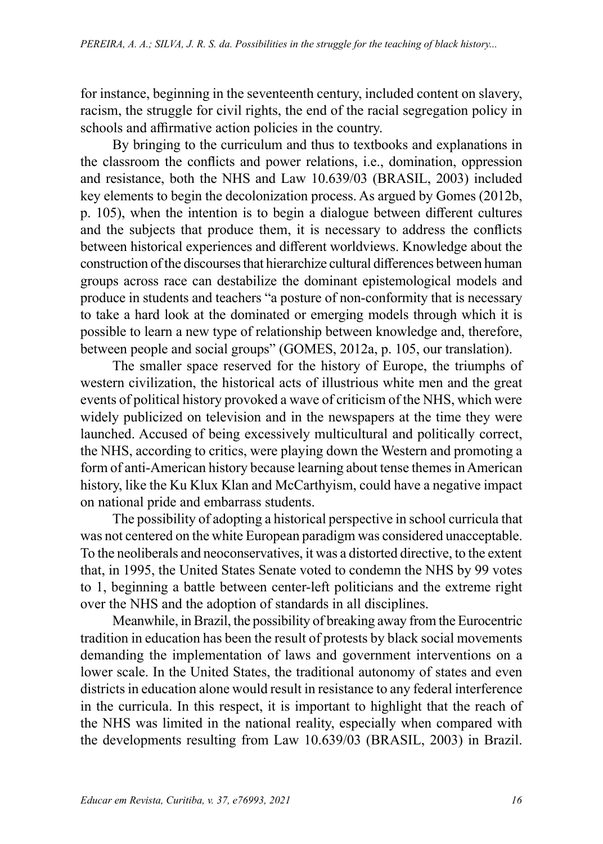for instance, beginning in the seventeenth century, included content on slavery, racism, the struggle for civil rights, the end of the racial segregation policy in schools and affirmative action policies in the country.

By bringing to the curriculum and thus to textbooks and explanations in the classroom the conflicts and power relations, i.e., domination, oppression and resistance, both the NHS and Law 10.639/03 (BRASIL, 2003) included key elements to begin the decolonization process. As argued by Gomes (2012b, p. 105), when the intention is to begin a dialogue between different cultures and the subjects that produce them, it is necessary to address the conflicts between historical experiences and different worldviews. Knowledge about the construction of the discourses that hierarchize cultural differences between human groups across race can destabilize the dominant epistemological models and produce in students and teachers "a posture of non-conformity that is necessary to take a hard look at the dominated or emerging models through which it is possible to learn a new type of relationship between knowledge and, therefore, between people and social groups" (GOMES, 2012a, p. 105, our translation).

The smaller space reserved for the history of Europe, the triumphs of western civilization, the historical acts of illustrious white men and the great events of political history provoked a wave of criticism of the NHS, which were widely publicized on television and in the newspapers at the time they were launched. Accused of being excessively multicultural and politically correct, the NHS, according to critics, were playing down the Western and promoting a form of anti-American history because learning about tense themes in American history, like the Ku Klux Klan and McCarthyism, could have a negative impact on national pride and embarrass students.

The possibility of adopting a historical perspective in school curricula that was not centered on the white European paradigm was considered unacceptable. To the neoliberals and neoconservatives, it was a distorted directive, to the extent that, in 1995, the United States Senate voted to condemn the NHS by 99 votes to 1, beginning a battle between center-left politicians and the extreme right over the NHS and the adoption of standards in all disciplines.

Meanwhile, in Brazil, the possibility of breaking away from the Eurocentric tradition in education has been the result of protests by black social movements demanding the implementation of laws and government interventions on a lower scale. In the United States, the traditional autonomy of states and even districts in education alone would result in resistance to any federal interference in the curricula. In this respect, it is important to highlight that the reach of the NHS was limited in the national reality, especially when compared with the developments resulting from Law 10.639/03 (BRASIL, 2003) in Brazil.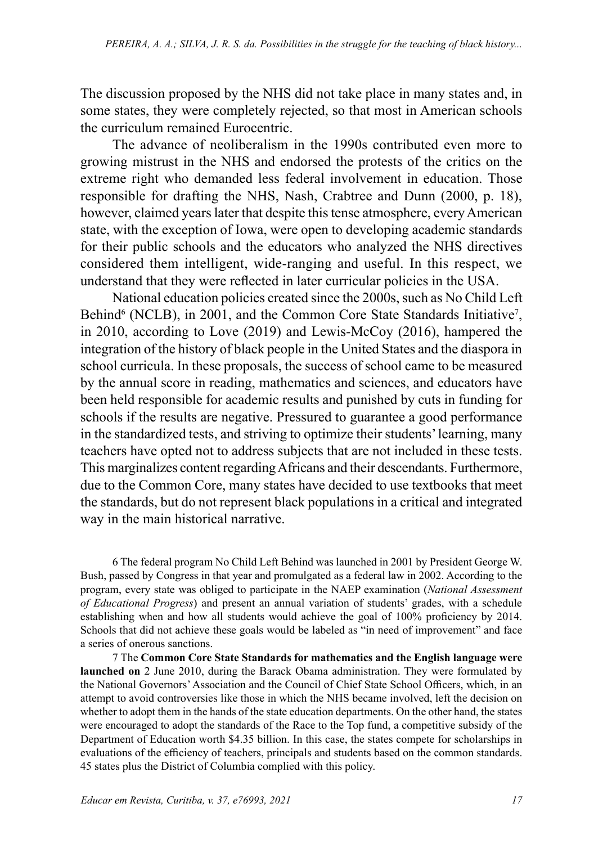The discussion proposed by the NHS did not take place in many states and, in some states, they were completely rejected, so that most in American schools the curriculum remained Eurocentric.

The advance of neoliberalism in the 1990s contributed even more to growing mistrust in the NHS and endorsed the protests of the critics on the extreme right who demanded less federal involvement in education. Those responsible for drafting the NHS, Nash, Crabtree and Dunn (2000, p. 18), however, claimed years later that despite this tense atmosphere, every American state, with the exception of Iowa, were open to developing academic standards for their public schools and the educators who analyzed the NHS directives considered them intelligent, wide-ranging and useful. In this respect, we understand that they were reflected in later curricular policies in the USA.

National education policies created since the 2000s, such as No Child Left Behind<sup>6</sup> (NCLB), in 2001, and the Common Core State Standards Initiative<sup>7</sup>, in 2010, according to Love (2019) and Lewis-McCoy (2016), hampered the integration of the history of black people in the United States and the diaspora in school curricula. In these proposals, the success of school came to be measured by the annual score in reading, mathematics and sciences, and educators have been held responsible for academic results and punished by cuts in funding for schools if the results are negative. Pressured to guarantee a good performance in the standardized tests, and striving to optimize their students' learning, many teachers have opted not to address subjects that are not included in these tests. This marginalizes content regarding Africans and their descendants. Furthermore, due to the Common Core, many states have decided to use textbooks that meet the standards, but do not represent black populations in a critical and integrated way in the main historical narrative.

6 The federal program No Child Left Behind was launched in 2001 by President George W. Bush, passed by Congress in that year and promulgated as a federal law in 2002. According to the program, every state was obliged to participate in the NAEP examination (*National Assessment of Educational Progress*) and present an annual variation of students' grades, with a schedule establishing when and how all students would achieve the goal of 100% proficiency by 2014. Schools that did not achieve these goals would be labeled as "in need of improvement" and face a series of onerous sanctions.

7 The **Common Core State Standards for mathematics and the English language were launched on** 2 June 2010, during the Barack Obama administration. They were formulated by the National Governors' Association and the Council of Chief State School Officers, which, in an attempt to avoid controversies like those in which the NHS became involved, left the decision on whether to adopt them in the hands of the state education departments. On the other hand, the states were encouraged to adopt the standards of the Race to the Top fund, a competitive subsidy of the Department of Education worth \$4.35 billion. In this case, the states compete for scholarships in evaluations of the efficiency of teachers, principals and students based on the common standards. 45 states plus the District of Columbia complied with this policy.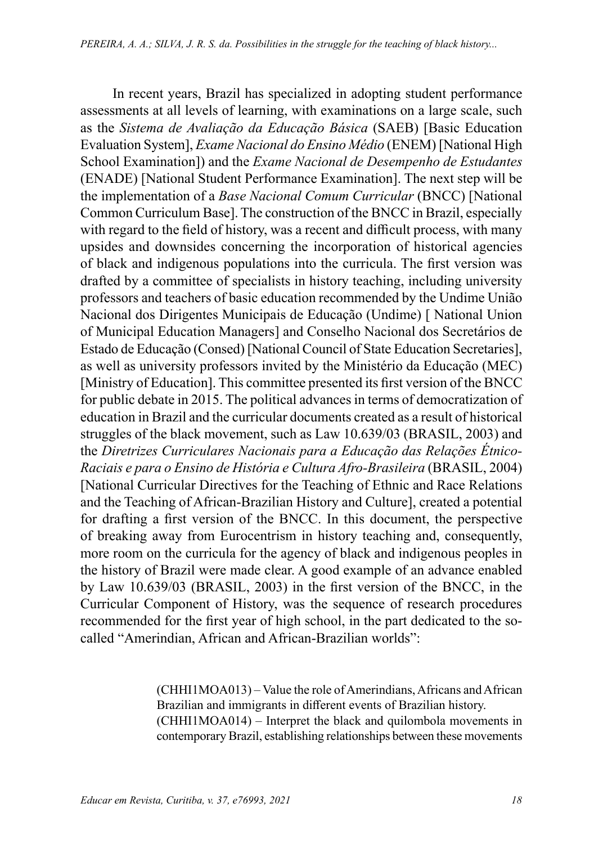In recent years, Brazil has specialized in adopting student performance assessments at all levels of learning, with examinations on a large scale, such as the *Sistema de Avaliação da Educação Básica* (SAEB) [Basic Education Evaluation System], *Exame Nacional do Ensino Médio* (ENEM) [National High School Examination]) and the *Exame Nacional de Desempenho de Estudantes* (ENADE) [National Student Performance Examination]. The next step will be the implementation of a *Base Nacional Comum Curricular* (BNCC) [National Common Curriculum Base]. The construction of the BNCC in Brazil, especially with regard to the field of history, was a recent and difficult process, with many upsides and downsides concerning the incorporation of historical agencies of black and indigenous populations into the curricula. The first version was drafted by a committee of specialists in history teaching, including university professors and teachers of basic education recommended by the Undime União Nacional dos Dirigentes Municipais de Educação (Undime) [ National Union of Municipal Education Managers] and Conselho Nacional dos Secretários de Estado de Educação (Consed) [National Council of State Education Secretaries], as well as university professors invited by the Ministério da Educação (MEC) [Ministry of Education]. This committee presented its first version of the BNCC for public debate in 2015. The political advances in terms of democratization of education in Brazil and the curricular documents created as a result of historical struggles of the black movement, such as Law 10.639/03 (BRASIL, 2003) and the *Diretrizes Curriculares Nacionais para a Educação das Relações Étnico-Raciais e para o Ensino de História e Cultura Afro-Brasileira* (BRASIL, 2004) [National Curricular Directives for the Teaching of Ethnic and Race Relations and the Teaching of African-Brazilian History and Culture], created a potential for drafting a first version of the BNCC. In this document, the perspective of breaking away from Eurocentrism in history teaching and, consequently, more room on the curricula for the agency of black and indigenous peoples in the history of Brazil were made clear. A good example of an advance enabled by Law 10.639/03 (BRASIL, 2003) in the first version of the BNCC, in the Curricular Component of History, was the sequence of research procedures recommended for the first year of high school, in the part dedicated to the socalled "Amerindian, African and African-Brazilian worlds":

> (CHHI1MOA013) – Value the role of Amerindians, Africans and African Brazilian and immigrants in different events of Brazilian history. (CHHI1MOA014) – Interpret the black and quilombola movements in contemporary Brazil, establishing relationships between these movements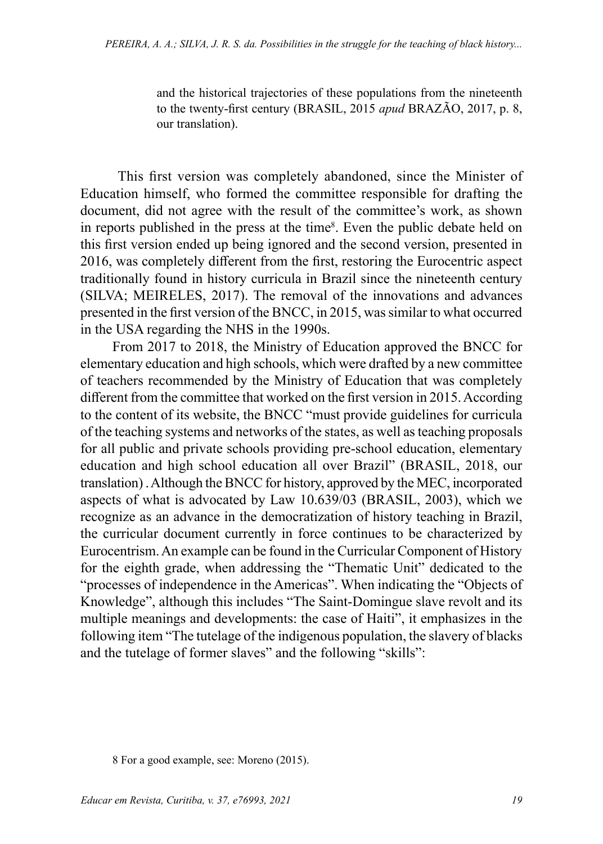and the historical trajectories of these populations from the nineteenth to the twenty-first century (BRASIL, 2015 *apud* BRAZÃO, 2017, p. 8, our translation).

 This first version was completely abandoned, since the Minister of Education himself, who formed the committee responsible for drafting the document, did not agree with the result of the committee's work, as shown in reports published in the press at the time<sup>8</sup>. Even the public debate held on this first version ended up being ignored and the second version, presented in 2016, was completely different from the first, restoring the Eurocentric aspect traditionally found in history curricula in Brazil since the nineteenth century (SILVA; MEIRELES, 2017). The removal of the innovations and advances presented in the first version of the BNCC, in 2015, was similar to what occurred in the USA regarding the NHS in the 1990s.

From 2017 to 2018, the Ministry of Education approved the BNCC for elementary education and high schools, which were drafted by a new committee of teachers recommended by the Ministry of Education that was completely different from the committee that worked on the first version in 2015. According to the content of its website, the BNCC "must provide guidelines for curricula of the teaching systems and networks of the states, as well as teaching proposals for all public and private schools providing pre-school education, elementary education and high school education all over Brazil" (BRASIL, 2018, our translation) . Although the BNCC for history, approved by the MEC, incorporated aspects of what is advocated by Law 10.639/03 (BRASIL, 2003), which we recognize as an advance in the democratization of history teaching in Brazil, the curricular document currently in force continues to be characterized by Eurocentrism. An example can be found in the Curricular Component of History for the eighth grade, when addressing the "Thematic Unit" dedicated to the "processes of independence in the Americas". When indicating the "Objects of Knowledge", although this includes "The Saint-Domingue slave revolt and its multiple meanings and developments: the case of Haiti", it emphasizes in the following item "The tutelage of the indigenous population, the slavery of blacks and the tutelage of former slaves" and the following "skills":

8 For a good example, see: Moreno (2015).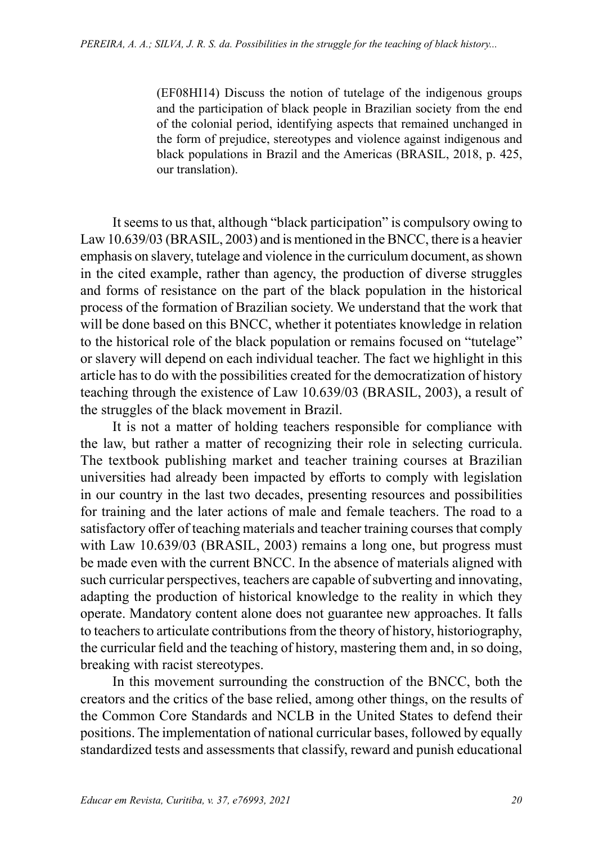(EF08HI14) Discuss the notion of tutelage of the indigenous groups and the participation of black people in Brazilian society from the end of the colonial period, identifying aspects that remained unchanged in the form of prejudice, stereotypes and violence against indigenous and black populations in Brazil and the Americas (BRASIL, 2018, p. 425, our translation).

It seems to us that, although "black participation" is compulsory owing to Law 10.639/03 (BRASIL, 2003) and is mentioned in the BNCC, there is a heavier emphasis on slavery, tutelage and violence in the curriculum document, as shown in the cited example, rather than agency, the production of diverse struggles and forms of resistance on the part of the black population in the historical process of the formation of Brazilian society. We understand that the work that will be done based on this BNCC, whether it potentiates knowledge in relation to the historical role of the black population or remains focused on "tutelage" or slavery will depend on each individual teacher. The fact we highlight in this article has to do with the possibilities created for the democratization of history teaching through the existence of Law 10.639/03 (BRASIL, 2003), a result of the struggles of the black movement in Brazil.

It is not a matter of holding teachers responsible for compliance with the law, but rather a matter of recognizing their role in selecting curricula. The textbook publishing market and teacher training courses at Brazilian universities had already been impacted by efforts to comply with legislation in our country in the last two decades, presenting resources and possibilities for training and the later actions of male and female teachers. The road to a satisfactory offer of teaching materials and teacher training courses that comply with Law 10.639/03 (BRASIL, 2003) remains a long one, but progress must be made even with the current BNCC. In the absence of materials aligned with such curricular perspectives, teachers are capable of subverting and innovating, adapting the production of historical knowledge to the reality in which they operate. Mandatory content alone does not guarantee new approaches. It falls to teachers to articulate contributions from the theory of history, historiography, the curricular field and the teaching of history, mastering them and, in so doing, breaking with racist stereotypes.

In this movement surrounding the construction of the BNCC, both the creators and the critics of the base relied, among other things, on the results of the Common Core Standards and NCLB in the United States to defend their positions. The implementation of national curricular bases, followed by equally standardized tests and assessments that classify, reward and punish educational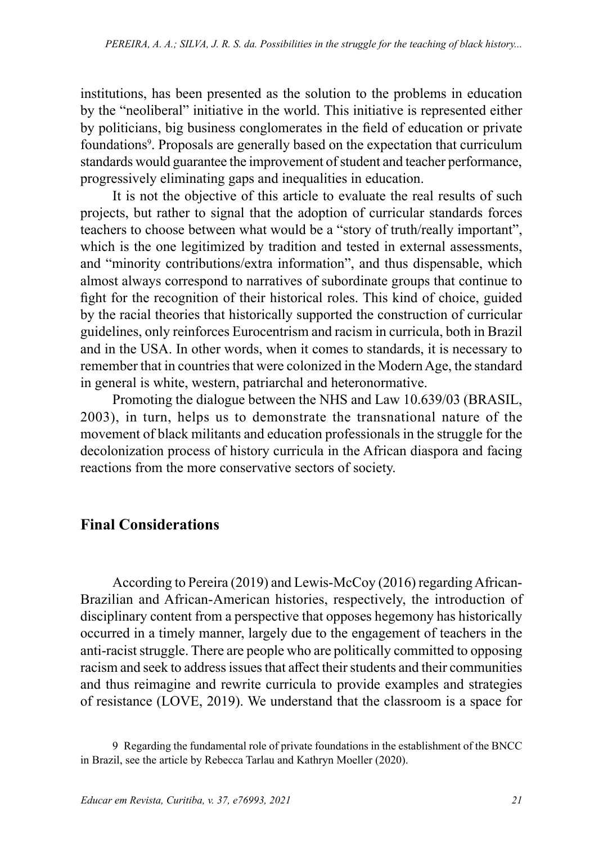institutions, has been presented as the solution to the problems in education by the "neoliberal" initiative in the world. This initiative is represented either by politicians, big business conglomerates in the field of education or private foundations<sup>9</sup>. Proposals are generally based on the expectation that curriculum standards would guarantee the improvement of student and teacher performance, progressively eliminating gaps and inequalities in education.

It is not the objective of this article to evaluate the real results of such projects, but rather to signal that the adoption of curricular standards forces teachers to choose between what would be a "story of truth/really important", which is the one legitimized by tradition and tested in external assessments, and "minority contributions/extra information", and thus dispensable, which almost always correspond to narratives of subordinate groups that continue to fight for the recognition of their historical roles. This kind of choice, guided by the racial theories that historically supported the construction of curricular guidelines, only reinforces Eurocentrism and racism in curricula, both in Brazil and in the USA. In other words, when it comes to standards, it is necessary to remember that in countries that were colonized in the Modern Age, the standard in general is white, western, patriarchal and heteronormative.

Promoting the dialogue between the NHS and Law 10.639/03 (BRASIL, 2003), in turn, helps us to demonstrate the transnational nature of the movement of black militants and education professionals in the struggle for the decolonization process of history curricula in the African diaspora and facing reactions from the more conservative sectors of society.

# **Final Considerations**

According to Pereira (2019) and Lewis-McCoy (2016) regarding African-Brazilian and African-American histories, respectively, the introduction of disciplinary content from a perspective that opposes hegemony has historically occurred in a timely manner, largely due to the engagement of teachers in the anti-racist struggle. There are people who are politically committed to opposing racism and seek to address issues that affect their students and their communities and thus reimagine and rewrite curricula to provide examples and strategies of resistance (LOVE, 2019). We understand that the classroom is a space for

<sup>9</sup> Regarding the fundamental role of private foundations in the establishment of the BNCC in Brazil, see the article by Rebecca Tarlau and Kathryn Moeller (2020).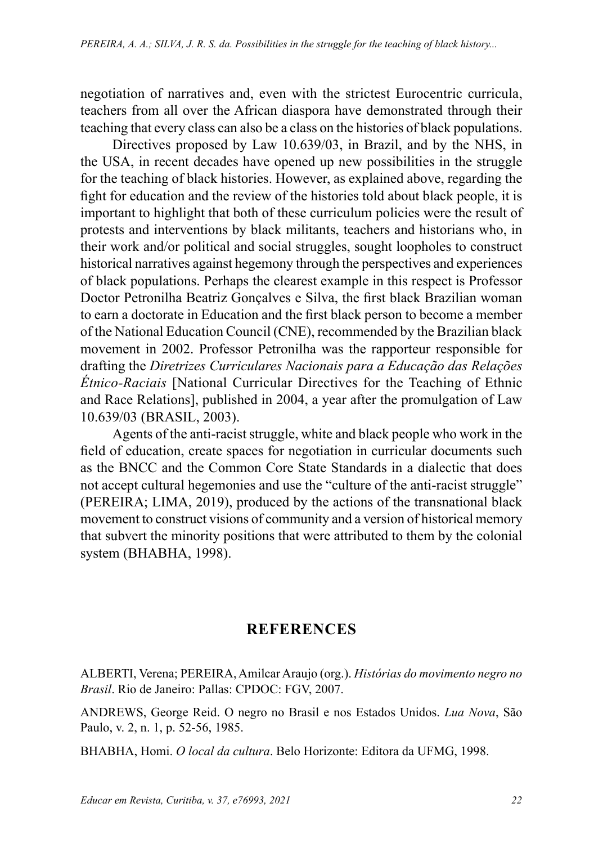negotiation of narratives and, even with the strictest Eurocentric curricula, teachers from all over the African diaspora have demonstrated through their teaching that every class can also be a class on the histories of black populations.

Directives proposed by Law 10.639/03, in Brazil, and by the NHS, in the USA, in recent decades have opened up new possibilities in the struggle for the teaching of black histories. However, as explained above, regarding the fight for education and the review of the histories told about black people, it is important to highlight that both of these curriculum policies were the result of protests and interventions by black militants, teachers and historians who, in their work and/or political and social struggles, sought loopholes to construct historical narratives against hegemony through the perspectives and experiences of black populations. Perhaps the clearest example in this respect is Professor Doctor Petronilha Beatriz Gonçalves e Silva, the first black Brazilian woman to earn a doctorate in Education and the first black person to become a member of the National Education Council (CNE), recommended by the Brazilian black movement in 2002. Professor Petronilha was the rapporteur responsible for drafting the *Diretrizes Curriculares Nacionais para a Educação das Relações Étnico-Raciais* [National Curricular Directives for the Teaching of Ethnic and Race Relations], published in 2004, a year after the promulgation of Law 10.639/03 (BRASIL, 2003).

Agents of the anti-racist struggle, white and black people who work in the field of education, create spaces for negotiation in curricular documents such as the BNCC and the Common Core State Standards in a dialectic that does not accept cultural hegemonies and use the "culture of the anti-racist struggle" (PEREIRA; LIMA, 2019), produced by the actions of the transnational black movement to construct visions of community and a version of historical memory that subvert the minority positions that were attributed to them by the colonial system (BHABHA, 1998).

# **REFERENCES**

ALBERTI, Verena; PEREIRA, Amilcar Araujo (org.). *Histórias do movimento negro no Brasil*. Rio de Janeiro: Pallas: CPDOC: FGV, 2007.

ANDREWS, George Reid. O negro no Brasil e nos Estados Unidos. *Lua Nova*, São Paulo, v. 2, n. 1, p. 52-56, 1985.

BHABHA, Homi. *O local da cultura*. Belo Horizonte: Editora da UFMG, 1998.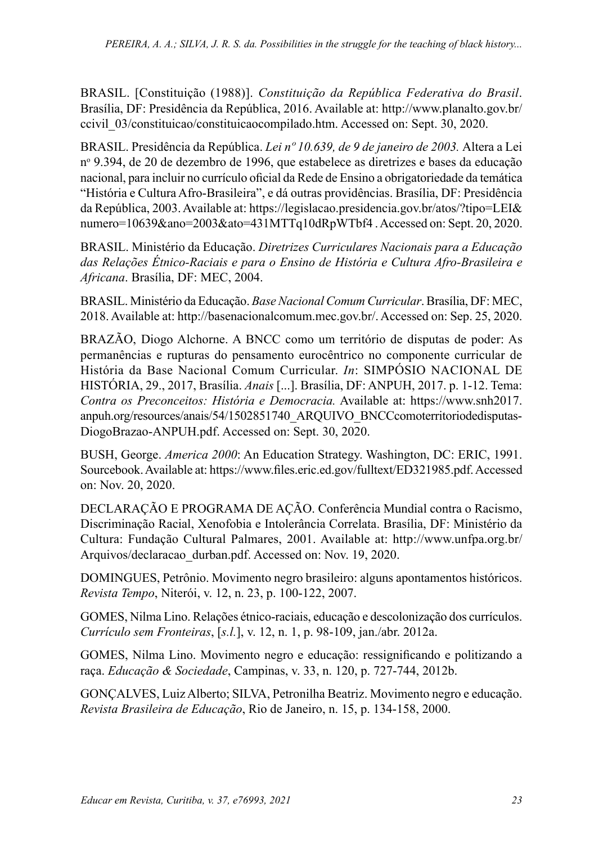BRASIL. [Constituição (1988)]. *Constituição da República Federativa do Brasil*. Brasília, DF: Presidência da República, 2016. Available at: [http://www.planalto.gov.br/](http://www.planalto.gov.br/ccivil_03/constituicao/constituicaocompilado.htm) [ccivil\\_03/constituicao/constituicaocompilado.htm](http://www.planalto.gov.br/ccivil_03/constituicao/constituicaocompilado.htm). Accessed on: Sept. 30, 2020.

BRASIL. Presidência da República. *Lei nº [10.639, de 9 de janeiro de 2003.](http://legislacao.planalto.gov.br/legisla/legislacao.nsf/Viw_Identificacao/lei%2010.639-2003?OpenDocument)* Altera a Lei nº 9.394, de 20 de dezembro de 1996, que estabelece as diretrizes e bases da educação nacional, para incluir no currículo oficial da Rede de Ensino a obrigatoriedade da temática "História e Cultura Afro-Brasileira", e dá outras providências. Brasília, DF: Presidência da República, 2003. Available at: https://legislacao.presidencia.gov.br/atos/?tipo=LEI& numero=10639&ano=2003&ato=431MTTq10dRpWTbf4 . Accessed on: Sept. 20, 2020.

BRASIL. Ministério da Educação. *Diretrizes Curriculares Nacionais para a Educação das Relações Étnico-Raciais e para o Ensino de História e Cultura Afro-Brasileira e Africana*. Brasília, DF: MEC, 2004.

BRASIL. Ministério da Educação. *Base Nacional Comum Curricular*. Brasília, DF: MEC, 2018. Available at: http://basenacionalcomum.mec.gov.br/. Accessed on: Sep. 25, 2020.

BRAZÃO, Diogo Alchorne. A BNCC como um território de disputas de poder: As permanências e rupturas do pensamento eurocêntrico no componente curricular de História da Base Nacional Comum Curricular. *In*: SIMPÓSIO NACIONAL DE HISTÓRIA, 29., 2017, Brasília. *Anais* [...]. Brasília, DF: ANPUH, 2017. p. 1-12. Tema: *Contra os Preconceitos: História e Democracia.* Available at: [https://www.snh2017.](https://www.snh2017.anpuh.org/resources/anais/54/1502851740_ARQUIVO_BNCCcomoterritoriodedisputas-DiogoBrazao-ANPUH.pdf) [anpuh.org/resources/anais/54/1502851740\\_ARQUIVO\\_BNCCcomoterritoriodedisputas-](https://www.snh2017.anpuh.org/resources/anais/54/1502851740_ARQUIVO_BNCCcomoterritoriodedisputas-DiogoBrazao-ANPUH.pdf)[DiogoBrazao-ANPUH.pdf.](https://www.snh2017.anpuh.org/resources/anais/54/1502851740_ARQUIVO_BNCCcomoterritoriodedisputas-DiogoBrazao-ANPUH.pdf) Accessed on: Sept. 30, 2020.

BUSH, George. *America 2000*: An Education Strategy. Washington, DC: ERIC, 1991. Sourcebook. Available at: https://www.files.eric.ed.gov/fulltext/ED321985.pdf. Accessed on: Nov. 20, 2020.

DECLARAÇÃO E PROGRAMA DE AÇÃO. Conferência Mundial contra o Racismo, Discriminação Racial, Xenofobia e Intolerância Correlata. Brasília, DF: Ministério da Cultura: Fundação Cultural Palmares, 2001. Available at: [http://www.unfpa.org.br/](http://www.unfpa.org.br/Arquivos/declaracao_durban.pdf) [Arquivos/declaracao\\_durban.pdf.](http://www.unfpa.org.br/Arquivos/declaracao_durban.pdf) Accessed on: Nov. 19, 2020.

DOMINGUES, Petrônio. Movimento negro brasileiro: alguns apontamentos históricos. *Revista Tempo*, Niterói, v. 12, n. 23, p. 100-122, 2007.

GOMES, Nilma Lino. Relações étnico-raciais, educação e descolonização dos currículos. *Currículo sem Fronteiras*, [*s.l.*], v. 12, n. 1, p. 98-109, jan./abr. 2012a.

GOMES, Nilma Lino. Movimento negro e educação: ressignificando e politizando a raça. *Educação & Sociedade*, Campinas, v. 33, n. 120, p. 727-744, 2012b.

GONÇALVES, Luiz Alberto; SILVA, Petronilha Beatriz. Movimento negro e educação. *Revista Brasileira de Educação*, Rio de Janeiro, n. 15, p. 134-158, 2000.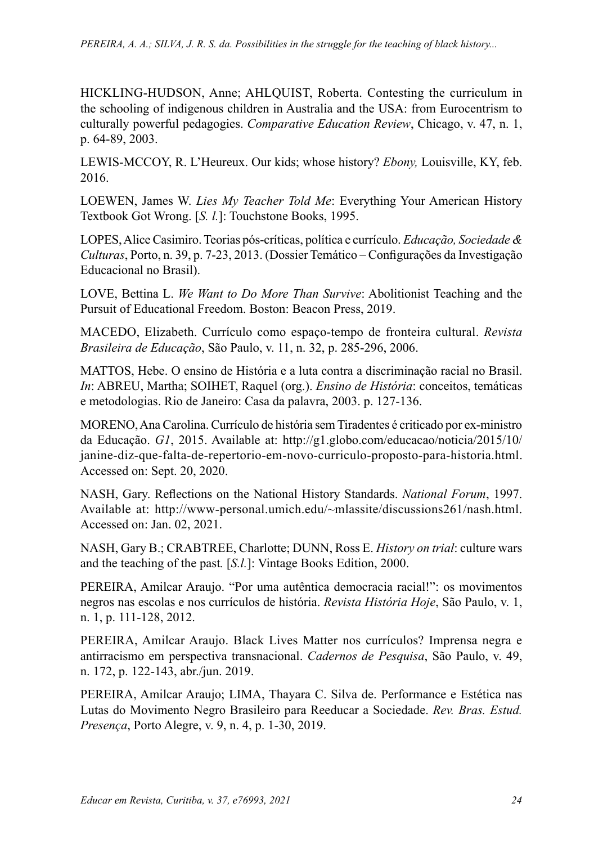HICKLING-HUDSON, Anne; AHLQUIST, Roberta. Contesting the curriculum in the schooling of indigenous children in Australia and the USA: from Eurocentrism to culturally powerful pedagogies. *Comparative Education Review*, Chicago, v. 47, n. 1, p. 64-89, 2003.

LEWIS-MCCOY, R. L'Heureux. Our kids; whose history? *Ebony,* Louisville, KY, feb. 2016.

LOEWEN, James W. *Lies My Teacher Told Me*: Everything Your American History Textbook Got Wrong. [*S. l.*]: Touchstone Books, 1995.

LOPES, Alice Casimiro. Teorias pós-críticas, política e currículo. *Educação, Sociedade & Culturas*, Porto, n. 39, p. 7-23, 2013. (Dossier Temático – Configurações da Investigação Educacional no Brasil).

LOVE, Bettina L. *We Want to Do More Than Survive*: Abolitionist Teaching and the Pursuit of Educational Freedom. Boston: Beacon Press, 2019.

MACEDO, Elizabeth. Currículo como espaço-tempo de fronteira cultural. *Revista Brasileira de Educação*, São Paulo, v. 11, n. 32, p. 285-296, 2006.

MATTOS, Hebe. O ensino de História e a luta contra a discriminação racial no Brasil. *In*: ABREU, Martha; SOIHET, Raquel (org.). *Ensino de História*: conceitos, temáticas e metodologias. Rio de Janeiro: Casa da palavra, 2003. p. 127-136.

MORENO, Ana Carolina. Currículo de história sem Tiradentes é criticado por ex-ministro da Educação. *G1*, 2015. Available at: [http://g1.globo.com/educacao/noticia/2015/10/](http://g1.globo.com/educacao/noticia/2015/10/janine-diz-que-falta-de-repertorio-em-novo-curriculo-proposto-para-historia.html) [janine-diz-que-falta-de-repertorio-em-novo-curriculo-proposto-para-historia.html](http://g1.globo.com/educacao/noticia/2015/10/janine-diz-que-falta-de-repertorio-em-novo-curriculo-proposto-para-historia.html). Accessed on: Sept. 20, 2020.

NASH, Gary. Reflections on the National History Standards. *National Forum*, 1997. Available at: http://www-personal.umich.edu/~mlassite/discussions261/nash.html. Accessed on: Jan. 02, 2021.

NASH, Gary B.; CRABTREE, Charlotte; DUNN, Ross E. *History on trial*: culture wars and the teaching of the past*.* [*S.l.*]: Vintage Books Edition, 2000.

PEREIRA, Amilcar Araujo. "Por uma autêntica democracia racial!": os movimentos negros nas escolas e nos currículos de história. *Revista História Hoje*, São Paulo, v. 1, n. 1, p. 111-128, 2012.

PEREIRA, Amilcar Araujo. Black Lives Matter nos currículos? Imprensa negra e antirracismo em perspectiva transnacional. *Cadernos de Pesquisa*, São Paulo, v. 49, n. 172, p. 122-143, abr./jun. 2019.

PEREIRA, Amilcar Araujo; LIMA, Thayara C. Silva de. Performance e Estética nas Lutas do Movimento Negro Brasileiro para Reeducar a Sociedade. *Rev. Bras. Estud. Presença*, Porto Alegre, v. 9, n. 4, p. 1-30, 2019.